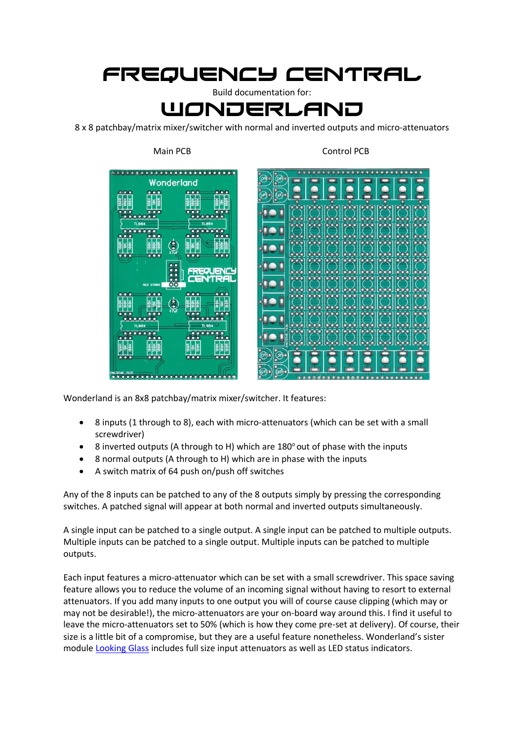## Frequency central

Build documentation for: **WONDERLAND** 

8 x 8 patchbay/matrix mixer/switcher with normal and inverted outputs and micro-attenuators



Main PCB Control PCB



Wonderland is an 8x8 patchbay/matrix mixer/switcher. It features:

- 8 inputs (1 through to 8), each with micro-attenuators (which can be set with a small screwdriver)
- 8 inverted outputs (A through to H) which are  $180^\circ$  out of phase with the inputs
- 8 normal outputs (A through to H) which are in phase with the inputs
- A switch matrix of 64 push on/push off switches

Any of the 8 inputs can be patched to any of the 8 outputs simply by pressing the corresponding switches. A patched signal will appear at both normal and inverted outputs simultaneously.

A single input can be patched to a single output. A single input can be patched to multiple outputs. Multiple inputs can be patched to a single output. Multiple inputs can be patched to multiple outputs.

Each input features a micro-attenuator which can be set with a small screwdriver. This space saving feature allows you to reduce the volume of an incoming signal without having to resort to external attenuators. If you add many inputs to one output you will of course cause clipping (which may or may not be desirable!), the micro-attenuators are your on-board way around this. I find it useful to leave the micro-attenuators set to 50% (which is how they come pre-set at delivery). Of course, their size is a little bit of a compromise, but they are a useful feature nonetheless. Wonderland's sister modul[e Looking Glass](https://frequencycentral.co.uk/product/looking-glass/) includes full size input attenuators as well as LED status indicators.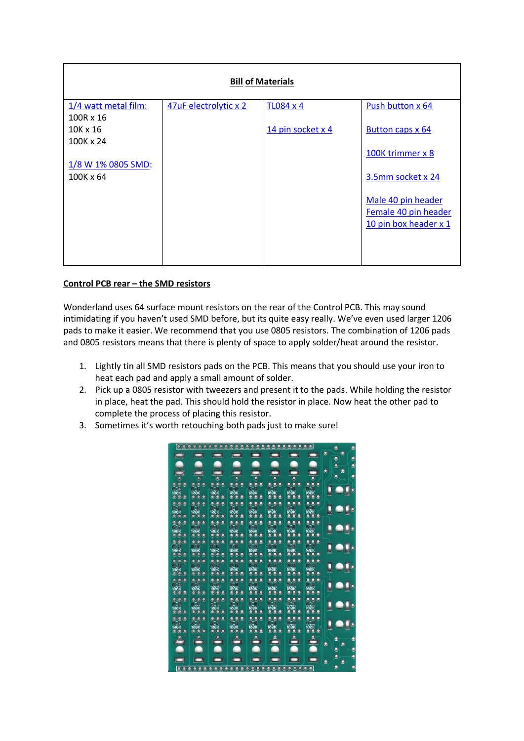| <b>Bill of Materials</b> |                       |                   |                       |
|--------------------------|-----------------------|-------------------|-----------------------|
| 1/4 watt metal film:     | 47uF electrolytic x 2 | <b>TL084 x 4</b>  | Push button x 64      |
| 100R x 16                |                       |                   |                       |
| $10K \times 16$          |                       | 14 pin socket x 4 | Button caps x 64      |
| 100K x 24                |                       |                   |                       |
|                          |                       |                   | 100K trimmer x 8      |
| 1/8 W 1% 0805 SMD:       |                       |                   |                       |
| 100K x 64                |                       |                   | 3.5mm socket x 24     |
|                          |                       |                   |                       |
|                          |                       |                   | Male 40 pin header    |
|                          |                       |                   | Female 40 pin header  |
|                          |                       |                   | 10 pin box header x 1 |
|                          |                       |                   |                       |
|                          |                       |                   |                       |
|                          |                       |                   |                       |

## **Control PCB rear – the SMD resistors**

Wonderland uses 64 surface mount resistors on the rear of the Control PCB. This may sound intimidating if you haven't used SMD before, but its quite easy really. We've even used larger 1206 pads to make it easier. We recommend that you use 0805 resistors. The combination of 1206 pads and 0805 resistors means that there is plenty of space to apply solder/heat around the resistor.

- 1. Lightly tin all SMD resistors pads on the PCB. This means that you should use your iron to heat each pad and apply a small amount of solder.
- 2. Pick up a 0805 resistor with tweezers and present it to the pads. While holding the resistor in place, heat the pad. This should hold the resistor in place. Now heat the other pad to complete the process of placing this resistor.
- 3. Sometimes it's worth retouching both pads just to make sure!

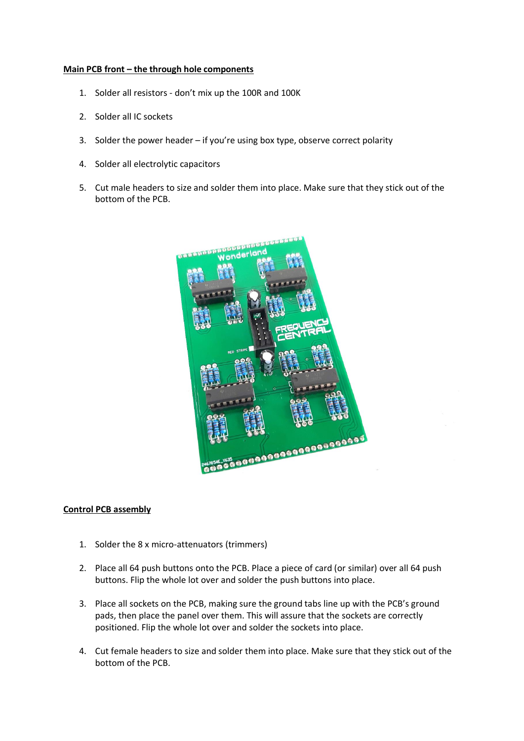## **Main PCB front – the through hole components**

- 1. Solder all resistors don't mix up the 100R and 100K
- 2. Solder all IC sockets
- 3. Solder the power header if you're using box type, observe correct polarity
- 4. Solder all electrolytic capacitors
- 5. Cut male headers to size and solder them into place. Make sure that they stick out of the bottom of the PCB.



## **Control PCB assembly**

- 1. Solder the 8 x micro-attenuators (trimmers)
- 2. Place all 64 push buttons onto the PCB. Place a piece of card (or similar) over all 64 push buttons. Flip the whole lot over and solder the push buttons into place.
- 3. Place all sockets on the PCB, making sure the ground tabs line up with the PCB's ground pads, then place the panel over them. This will assure that the sockets are correctly positioned. Flip the whole lot over and solder the sockets into place.
- 4. Cut female headers to size and solder them into place. Make sure that they stick out of the bottom of the PCB.